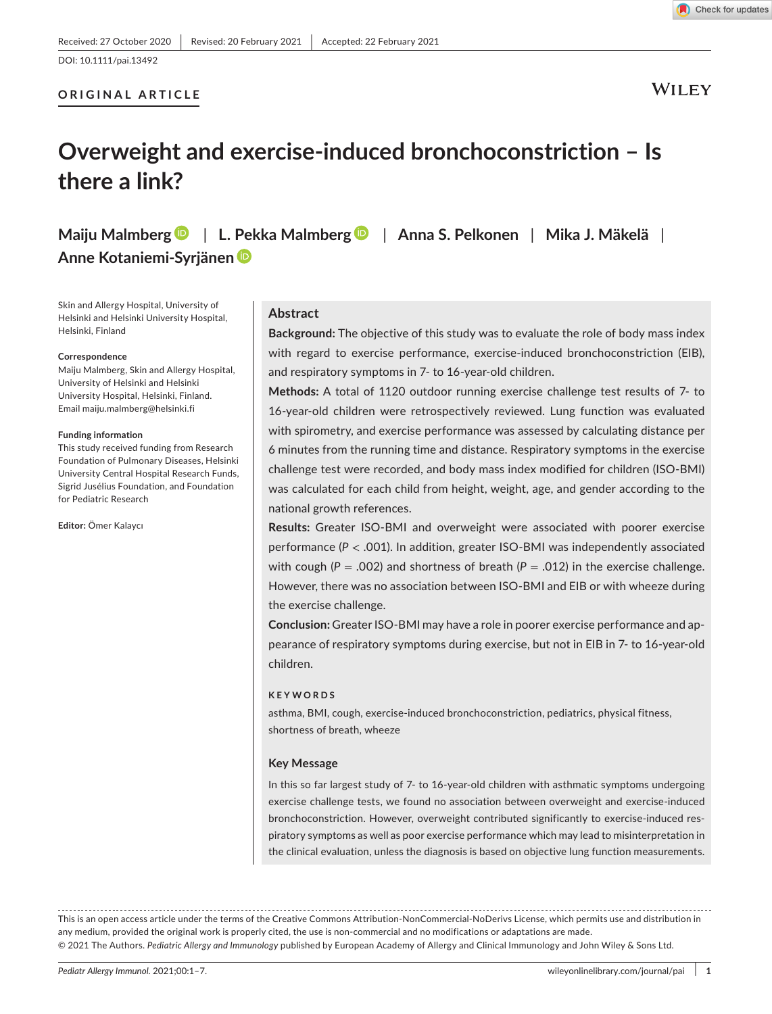## **ORIGINAL ARTICLE**

**WILEY** 

Check for updates

# **Overweight and exercise-induced bronchoconstriction – Is there a link?**

**Maiju Malmber[g](https://orcid.org/0000-0001-7848-1420)** | **L. Pekka Malmber[g](https://orcid.org/0000-0001-5087-1160)** | **Anna S. Pelkonen** | **Mika J. Mäkelä** | **Anne Kotaniemi-Syrjänen**

Skin and Allergy Hospital, University of Helsinki and Helsinki University Hospital, Helsinki, Finland

#### **Correspondence**

Maiju Malmberg, Skin and Allergy Hospital, University of Helsinki and Helsinki University Hospital, Helsinki, Finland. Email [maiju.malmberg@helsinki.fi](mailto:maiju.malmberg@helsinki.fi)

#### **Funding information**

This study received funding from Research Foundation of Pulmonary Diseases, Helsinki University Central Hospital Research Funds, Sigrid Jusélius Foundation, and Foundation for Pediatric Research

**Editor:** Ömer Kalaycı

### **Abstract**

**Background:** The objective of this study was to evaluate the role of body mass index with regard to exercise performance, exercise-induced bronchoconstriction (EIB), and respiratory symptoms in 7- to 16-year-old children.

**Methods:** A total of 1120 outdoor running exercise challenge test results of 7- to 16-year-old children were retrospectively reviewed. Lung function was evaluated with spirometry, and exercise performance was assessed by calculating distance per 6 minutes from the running time and distance. Respiratory symptoms in the exercise challenge test were recorded, and body mass index modified for children (ISO-BMI) was calculated for each child from height, weight, age, and gender according to the national growth references.

**Results:** Greater ISO-BMI and overweight were associated with poorer exercise performance (*P* < .001). In addition, greater ISO-BMI was independently associated with cough ( $P = .002$ ) and shortness of breath ( $P = .012$ ) in the exercise challenge. However, there was no association between ISO-BMI and EIB or with wheeze during the exercise challenge.

**Conclusion:** Greater ISO-BMI may have a role in poorer exercise performance and appearance of respiratory symptoms during exercise, but not in EIB in 7- to 16-year-old children.

#### **KEYWORDS**

asthma, BMI, cough, exercise-induced bronchoconstriction, pediatrics, physical fitness, shortness of breath, wheeze

#### **Key Message**

In this so far largest study of 7- to 16-year-old children with asthmatic symptoms undergoing exercise challenge tests, we found no association between overweight and exercise-induced bronchoconstriction. However, overweight contributed significantly to exercise-induced respiratory symptoms as well as poor exercise performance which may lead to misinterpretation in the clinical evaluation, unless the diagnosis is based on objective lung function measurements.

This is an open access article under the terms of the [Creative Commons Attribution-NonCommercial-NoDerivs](http://creativecommons.org/licenses/by-nc-nd/4.0/) License, which permits use and distribution in any medium, provided the original work is properly cited, the use is non-commercial and no modifications or adaptations are made. © 2021 The Authors. *Pediatric Allergy and Immunology* published by European Academy of Allergy and Clinical Immunology and John Wiley & Sons Ltd.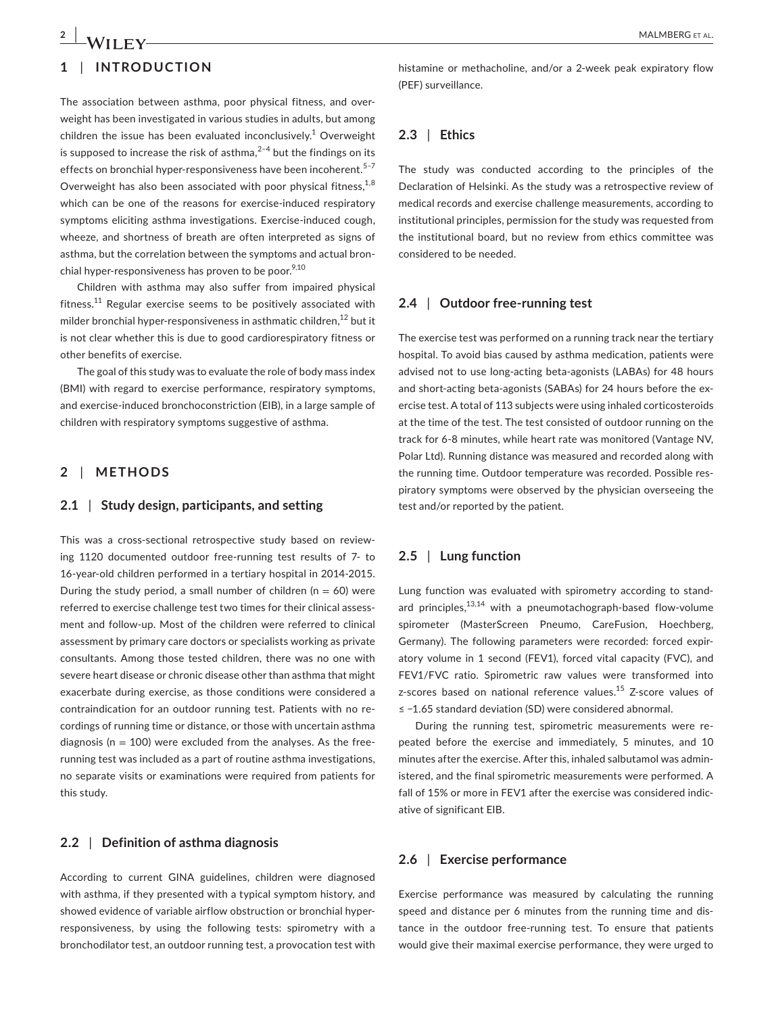## **1** | **INTRODUCTION**

The association between asthma, poor physical fitness, and overweight has been investigated in various studies in adults, but among children the issue has been evaluated inconclusively.<sup>1</sup> Overweight is supposed to increase the risk of asthma, $2-4$  but the findings on its effects on bronchial hyper-responsiveness have been incoherent.<sup>5-7</sup> Overweight has also been associated with poor physical fitness,  $1,8$ which can be one of the reasons for exercise-induced respiratory symptoms eliciting asthma investigations. Exercise-induced cough, wheeze, and shortness of breath are often interpreted as signs of asthma, but the correlation between the symptoms and actual bronchial hyper-responsiveness has proven to be poor.<sup>9,10</sup>

Children with asthma may also suffer from impaired physical fitness.<sup>11</sup> Regular exercise seems to be positively associated with milder bronchial hyper-responsiveness in asthmatic children.<sup>12</sup> but it is not clear whether this is due to good cardiorespiratory fitness or other benefits of exercise.

The goal of this study was to evaluate the role of body mass index (BMI) with regard to exercise performance, respiratory symptoms, and exercise-induced bronchoconstriction (EIB), in a large sample of children with respiratory symptoms suggestive of asthma.

#### **2** | **METHODS**

#### **2.1** | **Study design, participants, and setting**

This was a cross-sectional retrospective study based on reviewing 1120 documented outdoor free-running test results of 7- to 16-year-old children performed in a tertiary hospital in 2014-2015. During the study period, a small number of children ( $n = 60$ ) were referred to exercise challenge test two times for their clinical assessment and follow-up. Most of the children were referred to clinical assessment by primary care doctors or specialists working as private consultants. Among those tested children, there was no one with severe heart disease or chronic disease other than asthma that might exacerbate during exercise, as those conditions were considered a contraindication for an outdoor running test. Patients with no recordings of running time or distance, or those with uncertain asthma diagnosis ( $n = 100$ ) were excluded from the analyses. As the freerunning test was included as a part of routine asthma investigations, no separate visits or examinations were required from patients for this study.

## **2.2** | **Definition of asthma diagnosis**

According to current GINA guidelines, children were diagnosed with asthma, if they presented with a typical symptom history, and showed evidence of variable airflow obstruction or bronchial hyperresponsiveness, by using the following tests: spirometry with a bronchodilator test, an outdoor running test, a provocation test with histamine or methacholine, and/or a 2-week peak expiratory flow (PEF) surveillance.

## **2.3** | **Ethics**

The study was conducted according to the principles of the Declaration of Helsinki. As the study was a retrospective review of medical records and exercise challenge measurements, according to institutional principles, permission for the study was requested from the institutional board, but no review from ethics committee was considered to be needed.

#### **2.4** | **Outdoor free-running test**

The exercise test was performed on a running track near the tertiary hospital. To avoid bias caused by asthma medication, patients were advised not to use long-acting beta-agonists (LABAs) for 48 hours and short-acting beta-agonists (SABAs) for 24 hours before the exercise test. A total of 113 subjects were using inhaled corticosteroids at the time of the test. The test consisted of outdoor running on the track for 6-8 minutes, while heart rate was monitored (Vantage NV, Polar Ltd). Running distance was measured and recorded along with the running time. Outdoor temperature was recorded. Possible respiratory symptoms were observed by the physician overseeing the test and/or reported by the patient.

## **2.5** | **Lung function**

Lung function was evaluated with spirometry according to standard principles, $13,14$  with a pneumotachograph-based flow-volume spirometer (MasterScreen Pneumo, CareFusion, Hoechberg, Germany). The following parameters were recorded: forced expiratory volume in 1 second (FEV1), forced vital capacity (FVC), and FEV1/FVC ratio. Spirometric raw values were transformed into z-scores based on national reference values.<sup>15</sup> Z-score values of ≤ −1.65 standard deviation (SD) were considered abnormal.

During the running test, spirometric measurements were repeated before the exercise and immediately, 5 minutes, and 10 minutes after the exercise. After this, inhaled salbutamol was administered, and the final spirometric measurements were performed. A fall of 15% or more in FEV1 after the exercise was considered indicative of significant EIB.

## **2.6** | **Exercise performance**

Exercise performance was measured by calculating the running speed and distance per 6 minutes from the running time and distance in the outdoor free-running test. To ensure that patients would give their maximal exercise performance, they were urged to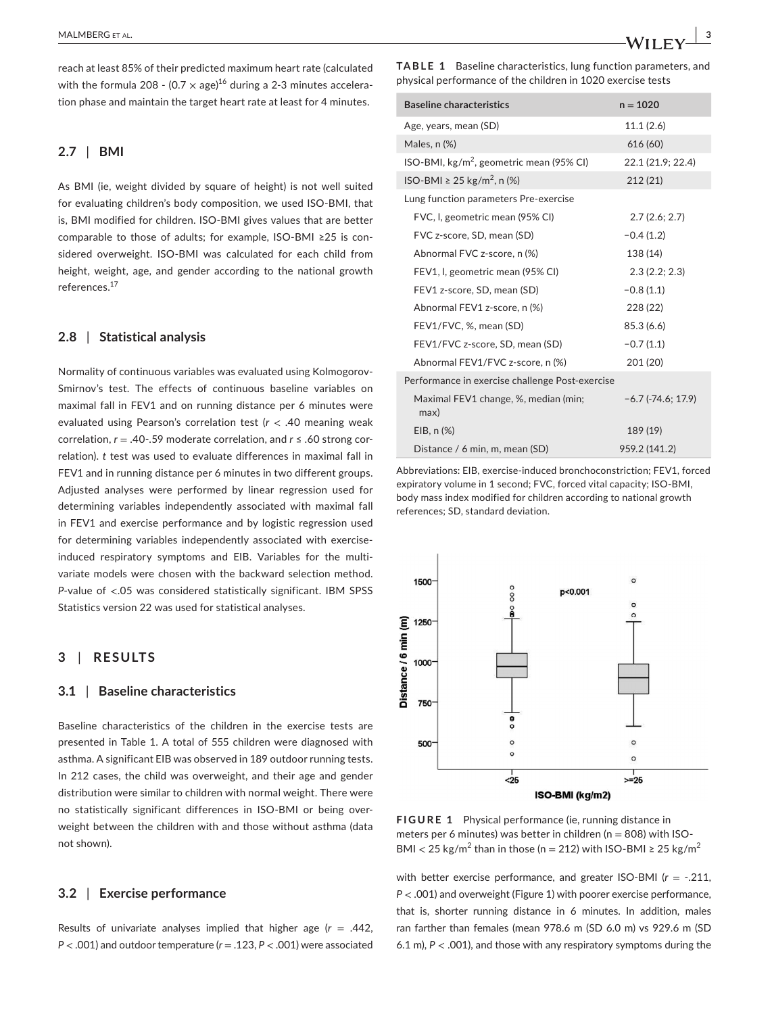reach at least 85% of their predicted maximum heart rate (calculated with the formula 208 - (0.7  $\times$  age)<sup>16</sup> during a 2-3 minutes acceleration phase and maintain the target heart rate at least for 4 minutes.

## **2.7** | **BMI**

As BMI (ie, weight divided by square of height) is not well suited for evaluating children's body composition, we used ISO-BMI, that is, BMI modified for children. ISO-BMI gives values that are better comparable to those of adults; for example, ISO-BMI ≥25 is considered overweight. ISO-BMI was calculated for each child from height, weight, age, and gender according to the national growth references.<sup>17</sup>

#### **2.8** | **Statistical analysis**

Normality of continuous variables was evaluated using Kolmogorov-Smirnov's test. The effects of continuous baseline variables on maximal fall in FEV1 and on running distance per 6 minutes were evaluated using Pearson's correlation test (*r* < .40 meaning weak correlation, *r* = .40-.59 moderate correlation, and *r* ≤ .60 strong correlation). *t* test was used to evaluate differences in maximal fall in FEV1 and in running distance per 6 minutes in two different groups. Adjusted analyses were performed by linear regression used for determining variables independently associated with maximal fall in FEV1 and exercise performance and by logistic regression used for determining variables independently associated with exerciseinduced respiratory symptoms and EIB. Variables for the multivariate models were chosen with the backward selection method. *P*-value of <.05 was considered statistically significant. IBM SPSS Statistics version 22 was used for statistical analyses.

## **3** | **RESULTS**

#### **3.1** | **Baseline characteristics**

Baseline characteristics of the children in the exercise tests are presented in Table 1. A total of 555 children were diagnosed with asthma. A significant EIB was observed in 189 outdoor running tests. In 212 cases, the child was overweight, and their age and gender distribution were similar to children with normal weight. There were no statistically significant differences in ISO-BMI or being overweight between the children with and those without asthma (data not shown).

#### **3.2** | **Exercise performance**

Results of univariate analyses implied that higher age  $(r = .442, )$ *P* < .001) and outdoor temperature (*r* = .123, *P* < .001) were associated **TABLE 1** Baseline characteristics, lung function parameters, and physical performance of the children in 1020 exercise tests

| <b>Baseline characteristics</b>                    | $n = 1020$               |  |  |  |
|----------------------------------------------------|--------------------------|--|--|--|
| Age, years, mean (SD)                              | 11.1 (2.6)               |  |  |  |
| Males, n (%)                                       | 616 (60)                 |  |  |  |
| ISO-BMI, $\text{kg/m}^2$ , geometric mean (95% CI) | 22.1 (21.9; 22.4)        |  |  |  |
| ISO-BMI ≥ 25 kg/m <sup>2</sup> , n (%)             | 212(21)                  |  |  |  |
| Lung function parameters Pre-exercise              |                          |  |  |  |
| FVC, I, geometric mean (95% CI)                    | 2.7(2.6; 2.7)            |  |  |  |
| FVC z-score, SD, mean (SD)                         | $-0.4(1.2)$              |  |  |  |
| Abnormal FVC z-score, n (%)                        | 138 (14)                 |  |  |  |
| FEV1, I, geometric mean (95% CI)                   | 2.3(2.2; 2.3)            |  |  |  |
| FEV1 z-score, SD, mean (SD)                        | $-0.8(1.1)$              |  |  |  |
| Abnormal FEV1 z-score, n (%)                       | 228 (22)                 |  |  |  |
| FEV1/FVC, %, mean (SD)                             | 85.3 (6.6)               |  |  |  |
| FEV1/FVC z-score, SD, mean (SD)                    | $-0.7(1.1)$              |  |  |  |
| Abnormal FEV1/FVC z-score, n (%)                   | 201 (20)                 |  |  |  |
| Performance in exercise challenge Post-exercise    |                          |  |  |  |
| Maximal FEV1 change, %, median (min;<br>max)       | $-6.7$ ( $-74.6$ ; 17.9) |  |  |  |
| $EIB, n(\%)$                                       | 189 (19)                 |  |  |  |
| Distance / 6 min, m, mean (SD)                     | 959.2 (141.2)            |  |  |  |

Abbreviations: EIB, exercise-induced bronchoconstriction; FEV1, forced expiratory volume in 1 second; FVC, forced vital capacity; ISO-BMI, body mass index modified for children according to national growth references; SD, standard deviation.



**FIGURE 1** Physical performance (ie, running distance in meters per 6 minutes) was better in children ( $n = 808$ ) with ISO-BMI < 25 kg/m<sup>2</sup> than in those (n = 212) with ISO-BMI  $\geq 25$  kg/m<sup>2</sup>

with better exercise performance, and greater ISO-BMI (*r* = -.211, *P* < .001) and overweight (Figure 1) with poorer exercise performance, that is, shorter running distance in 6 minutes. In addition, males ran farther than females (mean 978.6 m (SD 6.0 m) vs 929.6 m (SD 6.1 m), *P* < .001), and those with any respiratory symptoms during the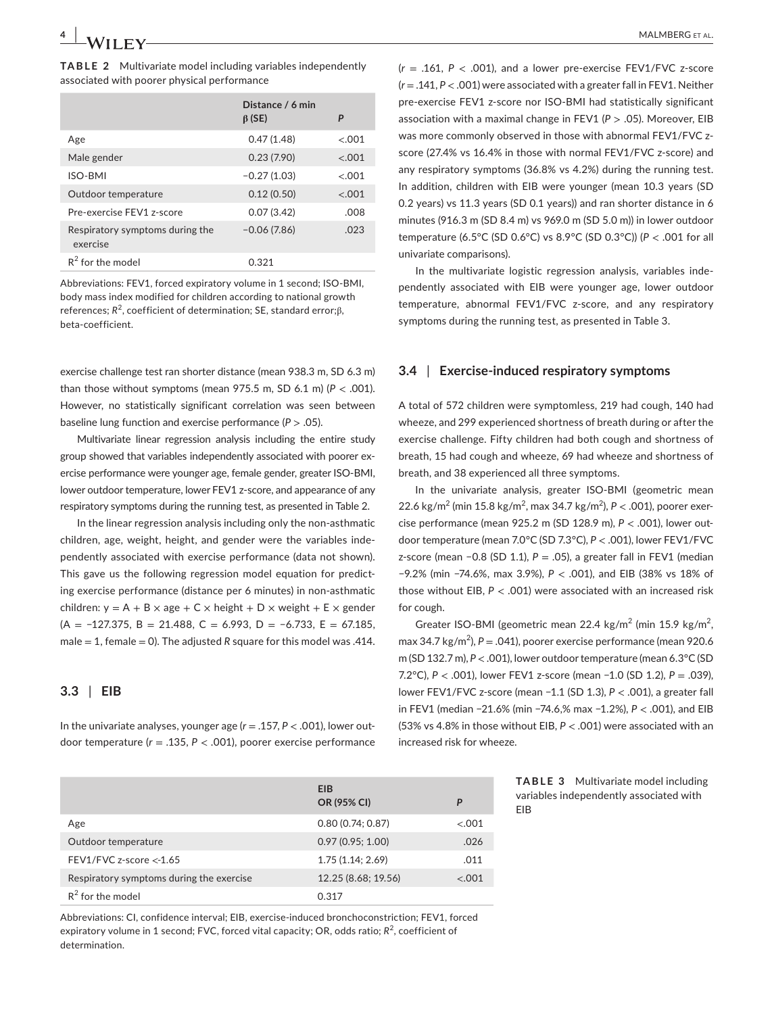|                                             | Distance / 6 min<br>$\beta$ (SE) | P      |
|---------------------------------------------|----------------------------------|--------|
| Age                                         | 0.47(1.48)                       | < 0.01 |
| Male gender                                 | 0.23(7.90)                       | < .001 |
| ISO-BMI                                     | $-0.27(1.03)$                    | < 0.01 |
| Outdoor temperature                         | 0.12(0.50)                       | < 0.01 |
| Pre-exercise FEV1 z-score                   | 0.07(3.42)                       | .008   |
| Respiratory symptoms during the<br>exercise | $-0.06(7.86)$                    | .023   |
| $R^2$ for the model                         | 0.321                            |        |

Abbreviations: FEV1, forced expiratory volume in 1 second; ISO-BMI, body mass index modified for children according to national growth references;  $R^2$ , coefficient of determination; SE, standard error;β, beta-coefficient.

exercise challenge test ran shorter distance (mean 938.3 m, SD 6.3 m) than those without symptoms (mean  $975.5$  m, SD  $6.1$  m) ( $P < .001$ ). However, no statistically significant correlation was seen between baseline lung function and exercise performance (*P* > .05).

Multivariate linear regression analysis including the entire study group showed that variables independently associated with poorer exercise performance were younger age, female gender, greater ISO-BMI, lower outdoor temperature, lower FEV1 z-score, and appearance of any respiratory symptoms during the running test, as presented in Table 2.

In the linear regression analysis including only the non-asthmatic children, age, weight, height, and gender were the variables independently associated with exercise performance (data not shown). This gave us the following regression model equation for predicting exercise performance (distance per 6 minutes) in non-asthmatic children:  $y = A + B \times age + C \times height + D \times weight + E \times gender$ (A = −127.375, B = 21.488, C = 6.993, D = −6.733, E = 67.185, male = 1, female = 0). The adjusted *R* square for this model was .414.

### **3.3** | **EIB**

In the univariate analyses, younger age (*r* = .157, *P* < .001), lower outdoor temperature (*r* = .135, *P* < .001), poorer exercise performance  $(r = .161, P < .001)$ , and a lower pre-exercise FEV1/FVC z-score (*r* = .141, *P* < .001) were associated with a greater fall in FEV1. Neither pre-exercise FEV1 z-score nor ISO-BMI had statistically significant association with a maximal change in FEV1 (*P* > .05). Moreover, EIB was more commonly observed in those with abnormal FEV1/FVC zscore (27.4% vs 16.4% in those with normal FEV1/FVC z-score) and any respiratory symptoms (36.8% vs 4.2%) during the running test. In addition, children with EIB were younger (mean 10.3 years (SD 0.2 years) vs 11.3 years (SD 0.1 years)) and ran shorter distance in 6 minutes (916.3 m (SD 8.4 m) vs 969.0 m (SD 5.0 m)) in lower outdoor temperature (6.5°C (SD 0.6°C) vs 8.9°C (SD 0.3°C)) (*P* < .001 for all univariate comparisons).

In the multivariate logistic regression analysis, variables independently associated with EIB were younger age, lower outdoor temperature, abnormal FEV1/FVC z-score, and any respiratory symptoms during the running test, as presented in Table 3.

#### **3.4** | **Exercise-induced respiratory symptoms**

A total of 572 children were symptomless, 219 had cough, 140 had wheeze, and 299 experienced shortness of breath during or after the exercise challenge. Fifty children had both cough and shortness of breath, 15 had cough and wheeze, 69 had wheeze and shortness of breath, and 38 experienced all three symptoms.

In the univariate analysis, greater ISO-BMI (geometric mean 22.6 kg/m<sup>2</sup> (min 15.8 kg/m<sup>2</sup>, max 34.7 kg/m<sup>2</sup>), P < .001), poorer exercise performance (mean 925.2 m (SD 128.9 m), *P* < .001), lower outdoor temperature (mean 7.0°C (SD 7.3°C), *P* < .001), lower FEV1/FVC z-score (mean −0.8 (SD 1.1), *P* = .05), a greater fall in FEV1 (median −9.2% (min −74.6%, max 3.9%), *P* < .001), and EIB (38% vs 18% of those without EIB, *P* < .001) were associated with an increased risk for cough.

Greater ISO-BMI (geometric mean 22.4 kg/m<sup>2</sup> (min 15.9 kg/m<sup>2</sup>, max 34.7 kg/m<sup>2</sup>),  $P = .041$ ), poorer exercise performance (mean 920.6 m (SD 132.7 m), *P* < .001), lower outdoor temperature (mean 6.3°C (SD 7.2°C), *P* < .001), lower FEV1 z-score (mean −1.0 (SD 1.2), *P* = .039), lower FEV1/FVC z-score (mean −1.1 (SD 1.3), *P* < .001), a greater fall in FEV1 (median −21.6% (min −74.6,% max −1.2%), *P* < .001), and EIB (53% vs 4.8% in those without EIB, *P* < .001) were associated with an increased risk for wheeze.

EIB

**TABLE 3** Multivariate model including variables independently associated with

|                                          | <b>EIB</b>          |         |
|------------------------------------------|---------------------|---------|
|                                          | OR (95% CI)         | P       |
| Age                                      | 0.80(0.74:0.87)     | < 0.001 |
| Outdoor temperature                      | 0.97(0.95; 1.00)    | .026    |
| FEV1/FVC z-score $<$ -1.65               | 1.75(1.14; 2.69)    | .011    |
| Respiratory symptoms during the exercise | 12.25 (8.68; 19.56) | $-.001$ |
| $R^2$ for the model                      | 0.317               |         |
|                                          |                     |         |

Abbreviations: CI, confidence interval; EIB, exercise-induced bronchoconstriction; FEV1, forced expiratory volume in 1 second; FVC, forced vital capacity; OR, odds ratio;  $R^2$ , coefficient of determination.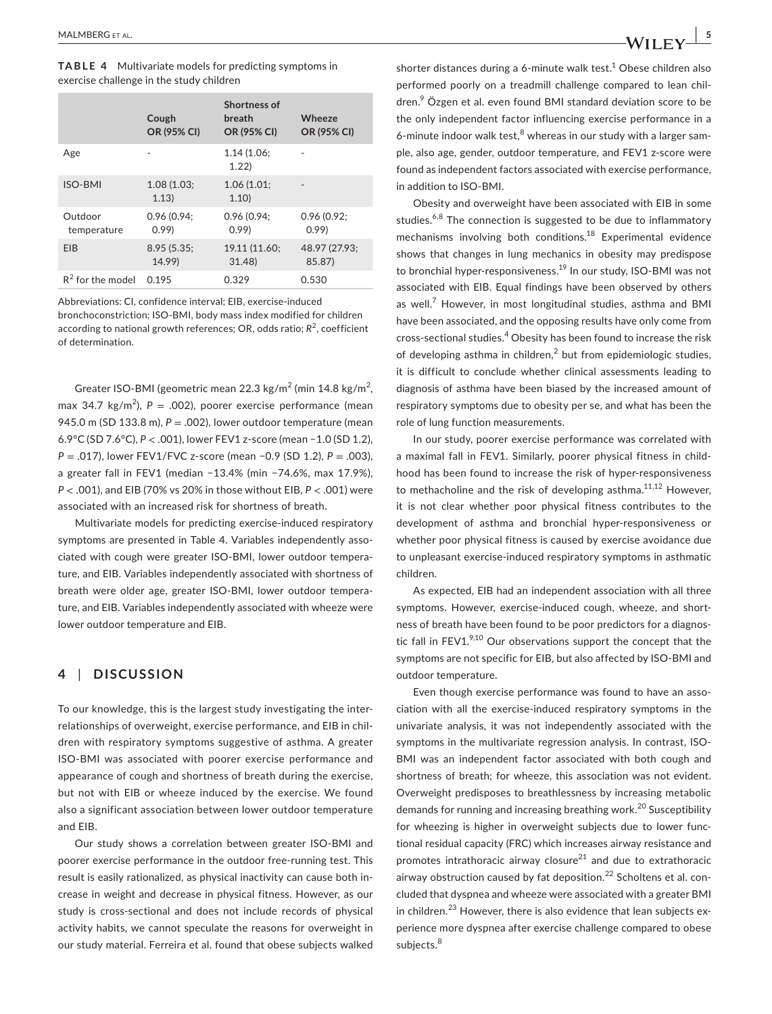**TABLE 4** Multivariate models for predicting symptoms in exercise challenge in the study children

|                        | Cough<br>OR (95% CI)  | Shortness of<br>breath<br><b>OR (95% CI)</b> | Wheeze<br>OR (95% CI)   |
|------------------------|-----------------------|----------------------------------------------|-------------------------|
| Age                    |                       | 1.14(1.06)<br>1.22                           |                         |
| <b>ISO-BMI</b>         | 1.08(1.03)<br>1.13)   | 1.06(1.01)<br>1.10)                          |                         |
| Outdoor<br>temperature | 0.96(0.94)<br>0.99    | 0.96(0.94)<br>0.99                           | 0.96(0.92)<br>0.99      |
| <b>FIB</b>             | 8.95 (5.35;<br>14.99) | 19.11 (11.60;<br>31.48                       | 48.97 (27.93;<br>85.87) |
| $R^2$ for the model    | 0.195                 | 0.329                                        | 0.530                   |

Abbreviations: CI, confidence interval; EIB, exercise-induced bronchoconstriction; ISO-BMI, body mass index modified for children according to national growth references; OR, odds ratio; R<sup>2</sup>, coefficient of determination.

Greater ISO-BMI (geometric mean 22.3 kg/m<sup>2</sup> (min 14.8 kg/m<sup>2</sup>, max 34.7 kg/m<sup>2</sup>), P = .002), poorer exercise performance (mean 945.0 m (SD 133.8 m), *P* = .002), lower outdoor temperature (mean 6.9°C (SD 7.6°C), *P* < .001), lower FEV1 z-score (mean −1.0 (SD 1.2), *P* = .017), lower FEV1/FVC z-score (mean −0.9 (SD 1.2), *P* = .003), a greater fall in FEV1 (median −13.4% (min −74.6%, max 17.9%), *P* < .001), and EIB (70% vs 20% in those without EIB, *P* < .001) were associated with an increased risk for shortness of breath.

Multivariate models for predicting exercise-induced respiratory symptoms are presented in Table 4. Variables independently associated with cough were greater ISO-BMI, lower outdoor temperature, and EIB. Variables independently associated with shortness of breath were older age, greater ISO-BMI, lower outdoor temperature, and EIB. Variables independently associated with wheeze were lower outdoor temperature and EIB.

## **4** | **DISCUSSION**

To our knowledge, this is the largest study investigating the interrelationships of overweight, exercise performance, and EIB in children with respiratory symptoms suggestive of asthma. A greater ISO-BMI was associated with poorer exercise performance and appearance of cough and shortness of breath during the exercise, but not with EIB or wheeze induced by the exercise. We found also a significant association between lower outdoor temperature and EIB.

Our study shows a correlation between greater ISO-BMI and poorer exercise performance in the outdoor free-running test. This result is easily rationalized, as physical inactivity can cause both increase in weight and decrease in physical fitness. However, as our study is cross-sectional and does not include records of physical activity habits, we cannot speculate the reasons for overweight in our study material. Ferreira et al. found that obese subjects walked

shorter distances during a 6-minute walk test. $1$  Obese children also performed poorly on a treadmill challenge compared to lean children.9 Özgen et al. even found BMI standard deviation score to be the only independent factor influencing exercise performance in a 6-minute indoor walk test, $8$  whereas in our study with a larger sample, also age, gender, outdoor temperature, and FEV1 z-score were found as independent factors associated with exercise performance, in addition to ISO-BMI.

Obesity and overweight have been associated with EIB in some studies. $6,8$  The connection is suggested to be due to inflammatory mechanisms involving both conditions.18 Experimental evidence shows that changes in lung mechanics in obesity may predispose to bronchial hyper-responsiveness.<sup>19</sup> In our study, ISO-BMI was not associated with EIB. Equal findings have been observed by others as well.<sup>7</sup> However, in most longitudinal studies, asthma and BMI have been associated, and the opposing results have only come from cross-sectional studies.<sup>4</sup> Obesity has been found to increase the risk of developing asthma in children,<sup>2</sup> but from epidemiologic studies, it is difficult to conclude whether clinical assessments leading to diagnosis of asthma have been biased by the increased amount of respiratory symptoms due to obesity per se, and what has been the role of lung function measurements.

In our study, poorer exercise performance was correlated with a maximal fall in FEV1. Similarly, poorer physical fitness in childhood has been found to increase the risk of hyper-responsiveness to methacholine and the risk of developing asthma.<sup>11,12</sup> However, it is not clear whether poor physical fitness contributes to the development of asthma and bronchial hyper-responsiveness or whether poor physical fitness is caused by exercise avoidance due to unpleasant exercise-induced respiratory symptoms in asthmatic children.

As expected, EIB had an independent association with all three symptoms. However, exercise-induced cough, wheeze, and shortness of breath have been found to be poor predictors for a diagnostic fall in FEV1. $9,10$  Our observations support the concept that the symptoms are not specific for EIB, but also affected by ISO-BMI and outdoor temperature.

Even though exercise performance was found to have an association with all the exercise-induced respiratory symptoms in the univariate analysis, it was not independently associated with the symptoms in the multivariate regression analysis. In contrast, ISO-BMI was an independent factor associated with both cough and shortness of breath; for wheeze, this association was not evident. Overweight predisposes to breathlessness by increasing metabolic demands for running and increasing breathing work.<sup>20</sup> Susceptibility for wheezing is higher in overweight subjects due to lower functional residual capacity (FRC) which increases airway resistance and promotes intrathoracic airway closure $^{21}$  and due to extrathoracic airway obstruction caused by fat deposition.<sup>22</sup> Scholtens et al. concluded that dyspnea and wheeze were associated with a greater BMI in children.<sup>23</sup> However, there is also evidence that lean subjects experience more dyspnea after exercise challenge compared to obese subjects.<sup>8</sup>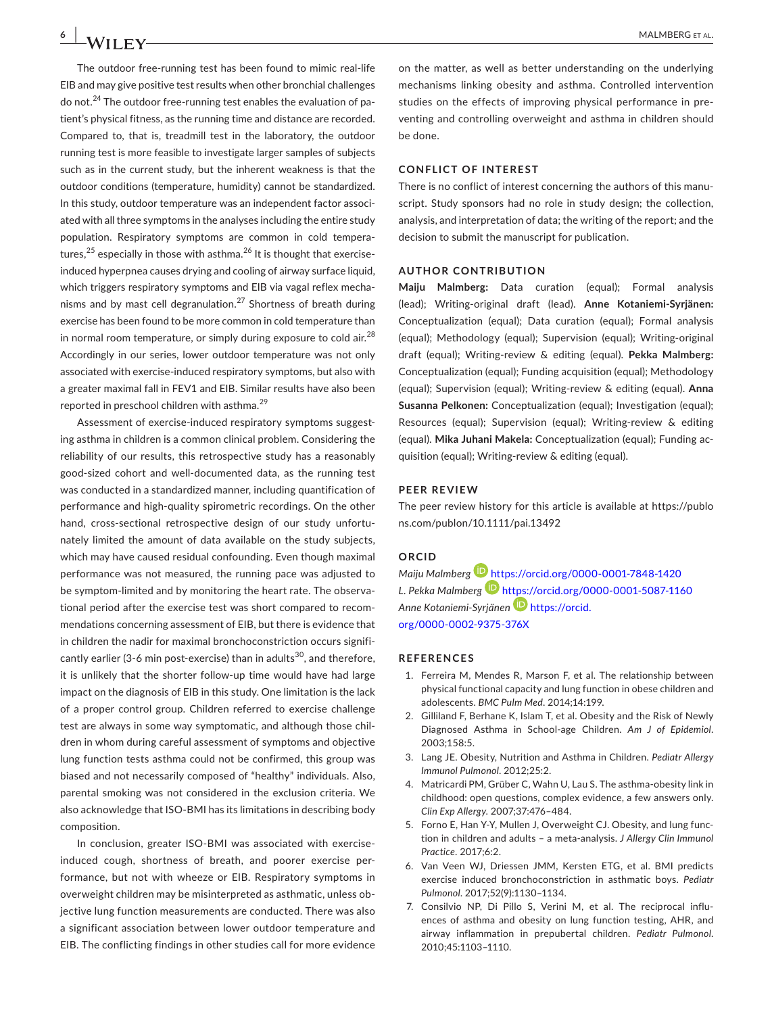The outdoor free-running test has been found to mimic real-life EIB and may give positive test results when other bronchial challenges do not.24 The outdoor free-running test enables the evaluation of patient's physical fitness, as the running time and distance are recorded. Compared to, that is, treadmill test in the laboratory, the outdoor running test is more feasible to investigate larger samples of subjects such as in the current study, but the inherent weakness is that the outdoor conditions (temperature, humidity) cannot be standardized. In this study, outdoor temperature was an independent factor associated with all three symptoms in the analyses including the entire study population. Respiratory symptoms are common in cold temperatures,<sup>25</sup> especially in those with asthma.<sup>26</sup> It is thought that exerciseinduced hyperpnea causes drying and cooling of airway surface liquid, which triggers respiratory symptoms and EIB via vagal reflex mechanisms and by mast cell degranulation.27 Shortness of breath during exercise has been found to be more common in cold temperature than in normal room temperature, or simply during exposure to cold air. $^{28}$ Accordingly in our series, lower outdoor temperature was not only associated with exercise-induced respiratory symptoms, but also with a greater maximal fall in FEV1 and EIB. Similar results have also been reported in preschool children with asthma.<sup>29</sup>

Assessment of exercise-induced respiratory symptoms suggesting asthma in children is a common clinical problem. Considering the reliability of our results, this retrospective study has a reasonably good-sized cohort and well-documented data, as the running test was conducted in a standardized manner, including quantification of performance and high-quality spirometric recordings. On the other hand, cross-sectional retrospective design of our study unfortunately limited the amount of data available on the study subjects, which may have caused residual confounding. Even though maximal performance was not measured, the running pace was adjusted to be symptom-limited and by monitoring the heart rate. The observational period after the exercise test was short compared to recommendations concerning assessment of EIB, but there is evidence that in children the nadir for maximal bronchoconstriction occurs significantly earlier (3-6 min post-exercise) than in adults<sup>30</sup>, and therefore, it is unlikely that the shorter follow-up time would have had large impact on the diagnosis of EIB in this study. One limitation is the lack of a proper control group. Children referred to exercise challenge test are always in some way symptomatic, and although those children in whom during careful assessment of symptoms and objective lung function tests asthma could not be confirmed, this group was biased and not necessarily composed of "healthy" individuals. Also, parental smoking was not considered in the exclusion criteria. We also acknowledge that ISO-BMI has its limitations in describing body composition.

In conclusion, greater ISO-BMI was associated with exerciseinduced cough, shortness of breath, and poorer exercise performance, but not with wheeze or EIB. Respiratory symptoms in overweight children may be misinterpreted as asthmatic, unless objective lung function measurements are conducted. There was also a significant association between lower outdoor temperature and EIB. The conflicting findings in other studies call for more evidence

on the matter, as well as better understanding on the underlying mechanisms linking obesity and asthma. Controlled intervention studies on the effects of improving physical performance in preventing and controlling overweight and asthma in children should be done.

#### **CONFLICT OF INTEREST**

There is no conflict of interest concerning the authors of this manuscript. Study sponsors had no role in study design; the collection, analysis, and interpretation of data; the writing of the report; and the decision to submit the manuscript for publication.

#### **AUTHOR CONTRIBUTION**

**Maiju Malmberg:** Data curation (equal); Formal analysis (lead); Writing-original draft (lead). **Anne Kotaniemi-Syrjänen:** Conceptualization (equal); Data curation (equal); Formal analysis (equal); Methodology (equal); Supervision (equal); Writing-original draft (equal); Writing-review & editing (equal). **Pekka Malmberg:** Conceptualization (equal); Funding acquisition (equal); Methodology (equal); Supervision (equal); Writing-review & editing (equal). **Anna Susanna Pelkonen:** Conceptualization (equal); Investigation (equal); Resources (equal); Supervision (equal); Writing-review & editing (equal). **Mika Juhani Makela:** Conceptualization (equal); Funding acquisition (equal); Writing-review & editing (equal).

#### **PEER REVIEW**

The peer review history for this article is available at [https://publo](https://publons.com/publon/10.1111/pai.13492) [ns.com/publon/10.1111/pai.13492](https://publons.com/publon/10.1111/pai.13492)

## **ORCID**

*Maiju Malmber[g](https://orcid.org/0000-0001-7848-1420)* <https://orcid.org/0000-0001-7848-1420> *L. Pekka Malmberg* <https://orcid.org/0000-0001-5087-1160> *Anne Kotaniemi-Syrjänen* [https://orcid.](https://orcid.org/0000-0002-9375-376X) [org/0000-0002-9375-376X](https://orcid.org/0000-0002-9375-376X)

#### **REFERENCES**

- 1. Ferreira M, Mendes R, Marson F, et al. The relationship between physical functional capacity and lung function in obese children and adolescents. *BMC Pulm Med*. 2014;14:199.
- 2. Gilliland F, Berhane K, Islam T, et al. Obesity and the Risk of Newly Diagnosed Asthma in School-age Children. *Am J of Epidemiol*. 2003;158:5.
- 3. Lang JE. Obesity, Nutrition and Asthma in Children. *Pediatr Allergy Immunol Pulmonol*. 2012;25:2.
- 4. Matricardi PM, Grüber C, Wahn U, Lau S. The asthma-obesity link in childhood: open questions, complex evidence, a few answers only. *Clin Exp Allergy*. 2007;37:476–484.
- 5. Forno E, Han Y-Y, Mullen J, Overweight CJ. Obesity, and lung function in children and adults – a meta-analysis. *J Allergy Clin Immunol Practice*. 2017;6:2.
- 6. Van Veen WJ, Driessen JMM, Kersten ETG, et al. BMI predicts exercise induced bronchoconstriction in asthmatic boys. *Pediatr Pulmonol*. 2017;52(9):1130–1134.
- 7. Consilvio NP, Di Pillo S, Verini M, et al. The reciprocal influences of asthma and obesity on lung function testing, AHR, and airway inflammation in prepubertal children. *Pediatr Pulmonol*. 2010;45:1103–1110.